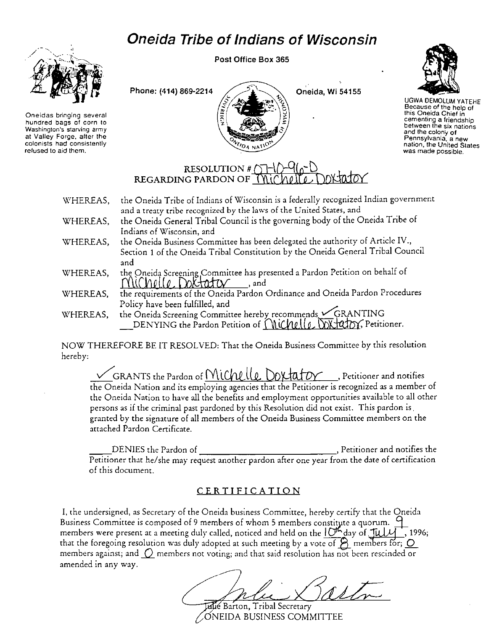## **Oneida Tribe of Indians of Wisconsin**



**Oneidas bringing several hundred bags of corn to Washington's starving army at Valley Forge, after the colonists had consistently refused to aid them.** 

Post Office Box 365





UGWA OEMOLUM YATEHE Because of the help of this Oneida Chief in **cementing a friendship between the six nations and the colony of Pennsylvania, a new nation, the United States was made possible.** 

## RESOLUTION # $\cap$ REGARDING PARDON OF  $\overline{\left(}$

| WHEREAS, | the Oneida Tribe of Indians of Wisconsin is a federally recognized Indian government                                       |
|----------|----------------------------------------------------------------------------------------------------------------------------|
|          | and a treaty tribe recognized by the laws of the United States, and                                                        |
| WHEREAS, | the Oneida General Tribal Council is the governing body of the Oneida Tribe of                                             |
|          | Indians of Wisconsin, and                                                                                                  |
| WHEREAS, | the Oneida Business Committee has been delegated the authority of Article IV.,                                             |
|          | Section 1 of the Oneida Tribal Constitution by the Oneida General Tribal Council                                           |
|          | and                                                                                                                        |
| WHEREAS, | the Oneida Screening Committee has presented a Pardon Petition on behalf of                                                |
|          | Michelle Doctator<br>and,                                                                                                  |
| WHEREAS, | the requirements of the Oneida Pardon Ordinance and Oneida Pardon Procedures                                               |
|          | Policy have been fulfilled, and                                                                                            |
| WHEREAS, |                                                                                                                            |
|          | the Oneida Screening Committee hereby recommends GRANTING<br>__DENYING the Pardon Petition of MICALLO DX 40DY, Petitioner. |
|          |                                                                                                                            |

NOW THEREFORE BE IT RESOLVED: That the Oneida Business Committee by this resolution hereby:

GRANTS the Pardon of Michelle Doxtator , Petitioner and notifies the Oneida Nation and its employing agencies that the Petitioner is recognized as a member of the Oneida Nation to have all the benefits and employment opportunities available to all other persons as if the criminal past pardoned by this Resolution did not exist. This pardon is. granted by the signature of all members of the Oneida Business Committee members on the attached Pardon Certificate.

\_\_ DENIES the Pardon of , Petitioner and notifies the Petitioner that he/she may request another pardon after one year from the date of certification of this document.

## CERTIFICATION

I, the undersigned, as Secretary of the Oneida business Committee, hereby certify that the Oneida Business Committee is composed of 9 members of whom 5 members constitute a quorum. <sup>C</sup> members were present at a meeting duly called, noticed and held on the  $10<sup>4</sup>$  day of  $10<sup>1</sup>$ , 1996; that the foregoing resolution was duly adopted at such meeting by a vote of  $\beta$  members for;  $O$ **members against; and \_Q\_ members not voting; and that said resolution has not been rescinded or**  amended in any way.

alle Barton, Tribal Secretary

ONEIDA BUSINESS COMMITTEE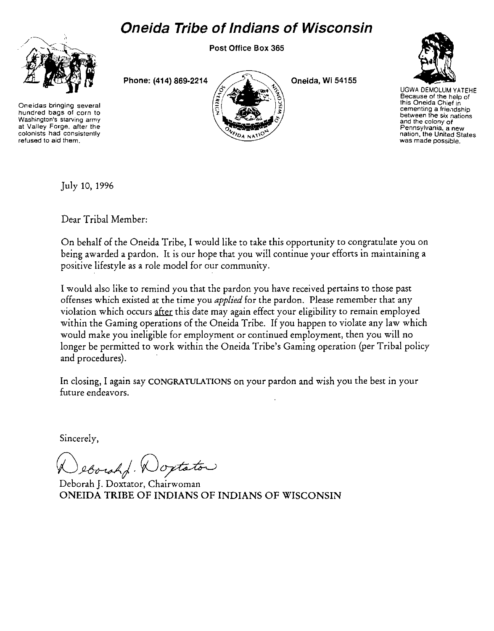## Oneida Tribe of Indians of Wisconsin

Post Office Box 365



Oneidas bringing several hundred bags of corn to Washington's starving army at Valley Forge, after the colonists had consistently refused to aid them.

Phone: (414) 869-2214



Oneida, Wi 54155



UGWA OEMOLUM YATEHE Because of the help of this Oneida Chief in cementing a friendship between the six nations and the colony of Pennsylvania, a new nation, the United States was made possible.

July 10, 1996

Dear Tribal Member:

On behalf of the Oneida Tribe, I would like to take this opportunity to congratulate you on being awarded a pardon. It is our hope that you will continue your efforts in maintaining a positive lifestyle as a role model for our community.

I would also like to remind you that the pardon you have received pertains to those past offenses which existed at the time you *applied* for the pardon. Please remember that any violation which occurs after this date may again effect your eligibility to remain employed within the Gaming operations of the Oneida Tribe. If you happen to violate any law which would make you ineligible for employment or continued employment, then you will no longer be permitted to work within the Oneida Tribe's Gaming operation (per Tribal policy and procedures).

In closing, I again say CONGRATULATIONS on your pardon and wish you the best in your future endeavors.

Sincerely,

eborahf. Woxtator

Deborah J. Doxtator, Chairwoman ONEIDA TRIBE OF INDIANS OF INDIANS OF WISCONSIN